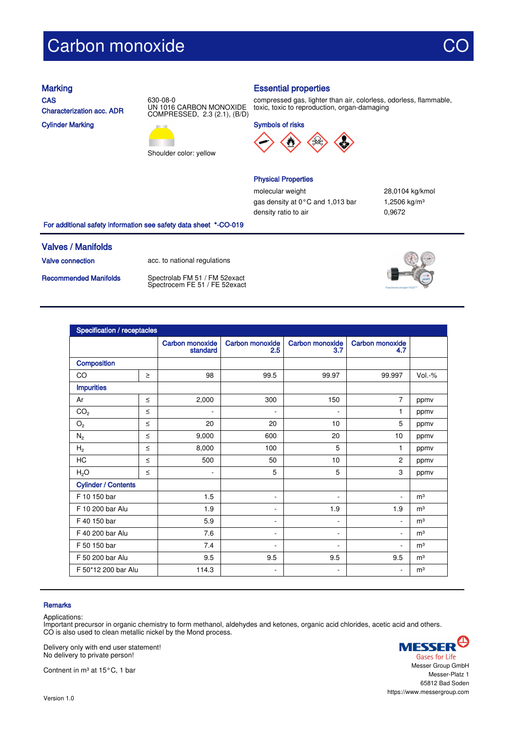# Carbon monoxide

**CAS** Characterization acc. ADR

Cylinder Marking





### Marking **Essential properties**

compressed gas, lighter than air, colorless, odorless, flammable, toxic, toxic to reproduction, organ-damaging

Symbols of risks



### Physical Properties

molecular weight 28,0104 kg/kmol gas density at 0°C and 1,013 bar 1,2506 kg/m<sup>3</sup> density ratio to air 0,9672

For additional safety information see safety data sheet \*-CO-019

### Valves / Manifolds

Valve connection acc. to national regulations

Recommended Manifolds Spectrolab FM 51 / FM 52exact



| <b>Specification / receptacles</b> |        |                                    |                          |                          |                               |                |  |  |  |
|------------------------------------|--------|------------------------------------|--------------------------|--------------------------|-------------------------------|----------------|--|--|--|
|                                    |        | <b>Carbon monoxide</b><br>standard | Carbon monoxide<br>2.5   | Carbon monoxide<br>3.7   | <b>Carbon monoxide</b><br>4.7 |                |  |  |  |
| Composition                        |        |                                    |                          |                          |                               |                |  |  |  |
| CO                                 | $\geq$ | 98                                 | 99.5                     | 99.97                    | 99.997                        | $Vol.-%$       |  |  |  |
| <b>Impurities</b>                  |        |                                    |                          |                          |                               |                |  |  |  |
| Ar                                 | $\leq$ | 2,000                              | 300                      | 150                      | $\overline{7}$                | ppmv           |  |  |  |
| CO <sub>2</sub>                    | $\leq$ | $\blacksquare$                     | $\overline{\phantom{a}}$ | ä,                       | 1                             | ppmy           |  |  |  |
| O <sub>2</sub>                     | $\leq$ | 20                                 | 20                       | 10                       | 5                             | ppmv           |  |  |  |
| $N_2$                              | $\leq$ | 9,000                              | 600                      | 20                       | 10                            | ppmv           |  |  |  |
| H <sub>2</sub>                     | $\leq$ | 8,000                              | 100                      | 5                        | 1                             | ppmv           |  |  |  |
| HC                                 | $\leq$ | 500                                | 50                       | 10                       | 2                             | ppmv           |  |  |  |
| H <sub>2</sub> O                   | $\leq$ | $\overline{\phantom{a}}$           | 5                        | 5                        | 3                             | ppmy           |  |  |  |
| <b>Cylinder / Contents</b>         |        |                                    |                          |                          |                               |                |  |  |  |
| F 10 150 bar                       |        | 1.5                                | $\overline{\phantom{a}}$ | ٠                        | ٠                             | m <sup>3</sup> |  |  |  |
| F 10 200 bar Alu                   |        | 1.9                                | $\overline{\phantom{a}}$ | 1.9                      | 1.9                           | m <sup>3</sup> |  |  |  |
| F 40 150 bar                       |        | 5.9                                | $\overline{\phantom{a}}$ | $\overline{\phantom{a}}$ | $\blacksquare$                | m <sup>3</sup> |  |  |  |
| F 40 200 bar Alu                   |        | 7.6                                | $\overline{\phantom{a}}$ | ٠                        | ٠                             | m <sup>3</sup> |  |  |  |
| F 50 150 bar                       |        | 7.4                                | $\overline{\phantom{a}}$ | ٠                        |                               | m <sup>3</sup> |  |  |  |
| F 50 200 bar Alu                   |        | 9.5                                | 9.5                      | 9.5                      | 9.5                           | m <sup>3</sup> |  |  |  |
| F 50*12 200 bar Alu                |        | 114.3                              | $\overline{\phantom{a}}$ | ä,                       | ٠                             | m <sup>3</sup> |  |  |  |

### **Remarks**

Applications:

Important precursor in organic chemistry to form methanol, aldehydes and ketones, organic acid chlorides, acetic acid and others. CO is also used to clean metallic nickel by the Mond process.

Delivery only with end user statement! No delivery to private person!

Contnent in m<sup>3</sup> at 15°C, 1 bar



Messer-Platz 1 65812 Bad Soden https://www.messergroup.com